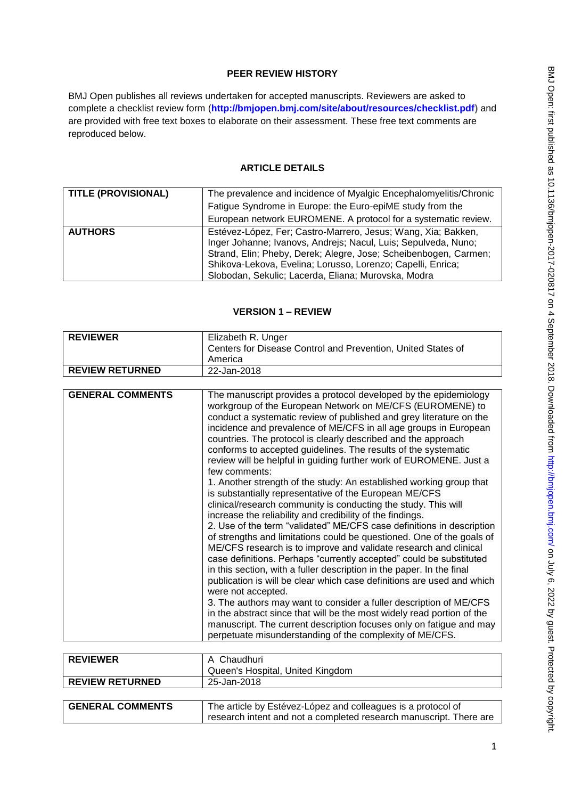# **PEER REVIEW HISTORY**

BMJ Open publishes all reviews undertaken for accepted manuscripts. Reviewers are asked to complete a checklist review form (**[http://bmjopen.bmj.com/site/about/resources/checklist.pdf\)](http://bmjopen.bmj.com/site/about/resources/checklist.pdf)** and are provided with free text boxes to elaborate on their assessment. These free text comments are reproduced below.

# **ARTICLE DETAILS**

| <b>TITLE (PROVISIONAL)</b> | The prevalence and incidence of Myalgic Encephalomyelitis/Chronic                                                                                                                                                                                                                                                         |
|----------------------------|---------------------------------------------------------------------------------------------------------------------------------------------------------------------------------------------------------------------------------------------------------------------------------------------------------------------------|
|                            | Fatigue Syndrome in Europe: the Euro-epiME study from the                                                                                                                                                                                                                                                                 |
|                            | European network EUROMENE. A protocol for a systematic review.                                                                                                                                                                                                                                                            |
| <b>AUTHORS</b>             | Estévez-López, Fer; Castro-Marrero, Jesus; Wang, Xia; Bakken,<br>Inger Johanne; Ivanovs, Andrejs; Nacul, Luis; Sepulveda, Nuno;<br>Strand, Elin; Pheby, Derek; Alegre, Jose; Scheibenbogen, Carmen;<br>Shikova-Lekova, Evelina; Lorusso, Lorenzo; Capelli, Enrica;<br>Slobodan, Sekulic; Lacerda, Eliana; Murovska, Modra |

# **VERSION 1 – REVIEW**

| <b>REVIEWER</b>         | Elizabeth R. Unger                                                                                                                                                                                                                                                                                                                                                                                                                                                                                                                                                                                                                                                                                                                                                                                                                                                                                                                                                                                                                                                                                                                                                                                                                                                                                                                                                                                                                                                                                                          |
|-------------------------|-----------------------------------------------------------------------------------------------------------------------------------------------------------------------------------------------------------------------------------------------------------------------------------------------------------------------------------------------------------------------------------------------------------------------------------------------------------------------------------------------------------------------------------------------------------------------------------------------------------------------------------------------------------------------------------------------------------------------------------------------------------------------------------------------------------------------------------------------------------------------------------------------------------------------------------------------------------------------------------------------------------------------------------------------------------------------------------------------------------------------------------------------------------------------------------------------------------------------------------------------------------------------------------------------------------------------------------------------------------------------------------------------------------------------------------------------------------------------------------------------------------------------------|
|                         | Centers for Disease Control and Prevention, United States of                                                                                                                                                                                                                                                                                                                                                                                                                                                                                                                                                                                                                                                                                                                                                                                                                                                                                                                                                                                                                                                                                                                                                                                                                                                                                                                                                                                                                                                                |
|                         | America                                                                                                                                                                                                                                                                                                                                                                                                                                                                                                                                                                                                                                                                                                                                                                                                                                                                                                                                                                                                                                                                                                                                                                                                                                                                                                                                                                                                                                                                                                                     |
| <b>REVIEW RETURNED</b>  | 22-Jan-2018                                                                                                                                                                                                                                                                                                                                                                                                                                                                                                                                                                                                                                                                                                                                                                                                                                                                                                                                                                                                                                                                                                                                                                                                                                                                                                                                                                                                                                                                                                                 |
|                         |                                                                                                                                                                                                                                                                                                                                                                                                                                                                                                                                                                                                                                                                                                                                                                                                                                                                                                                                                                                                                                                                                                                                                                                                                                                                                                                                                                                                                                                                                                                             |
| <b>GENERAL COMMENTS</b> | The manuscript provides a protocol developed by the epidemiology<br>workgroup of the European Network on ME/CFS (EUROMENE) to<br>conduct a systematic review of published and grey literature on the<br>incidence and prevalence of ME/CFS in all age groups in European<br>countries. The protocol is clearly described and the approach<br>conforms to accepted guidelines. The results of the systematic<br>review will be helpful in guiding further work of EUROMENE. Just a<br>few comments:<br>1. Another strength of the study: An established working group that<br>is substantially representative of the European ME/CFS<br>clinical/research community is conducting the study. This will<br>increase the reliability and credibility of the findings.<br>2. Use of the term "validated" ME/CFS case definitions in description<br>of strengths and limitations could be questioned. One of the goals of<br>ME/CFS research is to improve and validate research and clinical<br>case definitions. Perhaps "currently accepted" could be substituted<br>in this section, with a fuller description in the paper. In the final<br>publication is will be clear which case definitions are used and which<br>were not accepted.<br>3. The authors may want to consider a fuller description of ME/CFS<br>in the abstract since that will be the most widely read portion of the<br>manuscript. The current description focuses only on fatigue and may<br>perpetuate misunderstanding of the complexity of ME/CFS. |

| <b>REVIEWER</b>         | A Chaudhuri<br>Queen's Hospital, United Kingdom                                                                                    |
|-------------------------|------------------------------------------------------------------------------------------------------------------------------------|
| <b>REVIEW RETURNED</b>  | 25-Jan-2018                                                                                                                        |
|                         |                                                                                                                                    |
| <b>GENERAL COMMENTS</b> | The article by Estévez-López and colleagues is a protocol of<br>research intent and not a completed research manuscript. There are |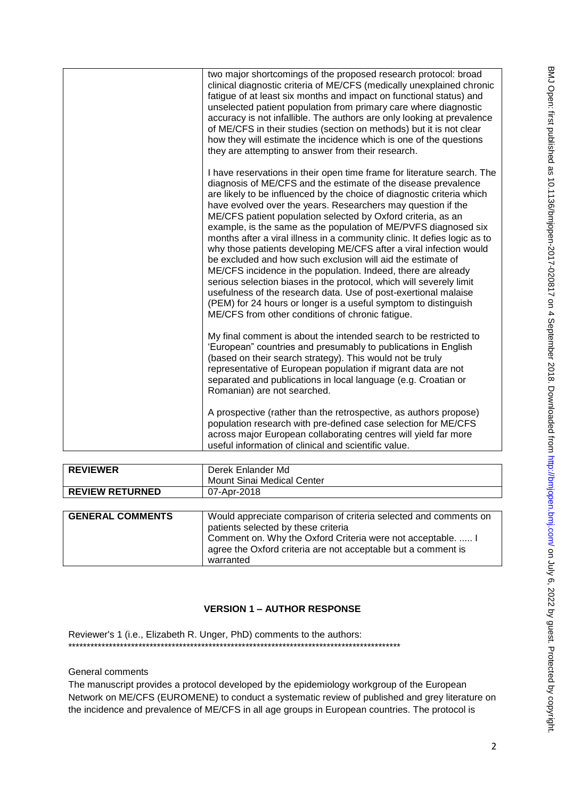| two major shortcomings of the proposed research protocol: broad<br>clinical diagnostic criteria of ME/CFS (medically unexplained chronic<br>fatigue of at least six months and impact on functional status) and<br>unselected patient population from primary care where diagnostic<br>accuracy is not infallible. The authors are only looking at prevalence<br>of ME/CFS in their studies (section on methods) but it is not clear<br>how they will estimate the incidence which is one of the questions<br>they are attempting to answer from their research.                                                                                                                                                                                                                                                                                                                                                                                                           |
|----------------------------------------------------------------------------------------------------------------------------------------------------------------------------------------------------------------------------------------------------------------------------------------------------------------------------------------------------------------------------------------------------------------------------------------------------------------------------------------------------------------------------------------------------------------------------------------------------------------------------------------------------------------------------------------------------------------------------------------------------------------------------------------------------------------------------------------------------------------------------------------------------------------------------------------------------------------------------|
| I have reservations in their open time frame for literature search. The<br>diagnosis of ME/CFS and the estimate of the disease prevalence<br>are likely to be influenced by the choice of diagnostic criteria which<br>have evolved over the years. Researchers may question if the<br>ME/CFS patient population selected by Oxford criteria, as an<br>example, is the same as the population of ME/PVFS diagnosed six<br>months after a viral illness in a community clinic. It defies logic as to<br>why those patients developing ME/CFS after a viral infection would<br>be excluded and how such exclusion will aid the estimate of<br>ME/CFS incidence in the population. Indeed, there are already<br>serious selection biases in the protocol, which will severely limit<br>usefulness of the research data. Use of post-exertional malaise<br>(PEM) for 24 hours or longer is a useful symptom to distinguish<br>ME/CFS from other conditions of chronic fatigue. |
| My final comment is about the intended search to be restricted to<br>'European" countries and presumably to publications in English<br>(based on their search strategy). This would not be truly<br>representative of European population if migrant data are not<br>separated and publications in local language (e.g. Croatian or<br>Romanian) are not searched.                                                                                                                                                                                                                                                                                                                                                                                                                                                                                                                                                                                                         |
| A prospective (rather than the retrospective, as authors propose)<br>population research with pre-defined case selection for ME/CFS<br>across major European collaborating centres will yield far more<br>useful information of clinical and scientific value.                                                                                                                                                                                                                                                                                                                                                                                                                                                                                                                                                                                                                                                                                                             |

| <b>REVIEWER</b>         | Derek Enlander Md                                                                                                                         |
|-------------------------|-------------------------------------------------------------------------------------------------------------------------------------------|
|                         | Mount Sinai Medical Center                                                                                                                |
| <b>REVIEW RETURNED</b>  | 07-Apr-2018                                                                                                                               |
|                         |                                                                                                                                           |
| <b>GENERAL COMMENTS</b> | Would appreciate comparison of criteria selected and comments on<br>patients selected by these criteria                                   |
|                         | Comment on. Why the Oxford Criteria were not acceptable.  I<br>agree the Oxford criteria are not acceptable but a comment is<br>warranted |

# **VERSION 1 – AUTHOR RESPONSE**

Reviewer's 1 (i.e., Elizabeth R. Unger, PhD) comments to the authors: \*\*\*\*\*\*\*\*\*\*\*\*\*\*\*\*\*\*\*\*\*\*\*\*\*\*\*\*\*\*\*\*\*\*\*\*\*\*\*\*\*\*\*\*\*\*\*\*\*\*\*\*\*\*\*\*\*\*\*\*\*\*\*\*\*\*\*\*\*\*\*\*\*\*\*\*\*\*\*\*\*\*\*\*\*\*\*\*\*\*

# General comments

The manuscript provides a protocol developed by the epidemiology workgroup of the European Network on ME/CFS (EUROMENE) to conduct a systematic review of published and grey literature on the incidence and prevalence of ME/CFS in all age groups in European countries. The protocol is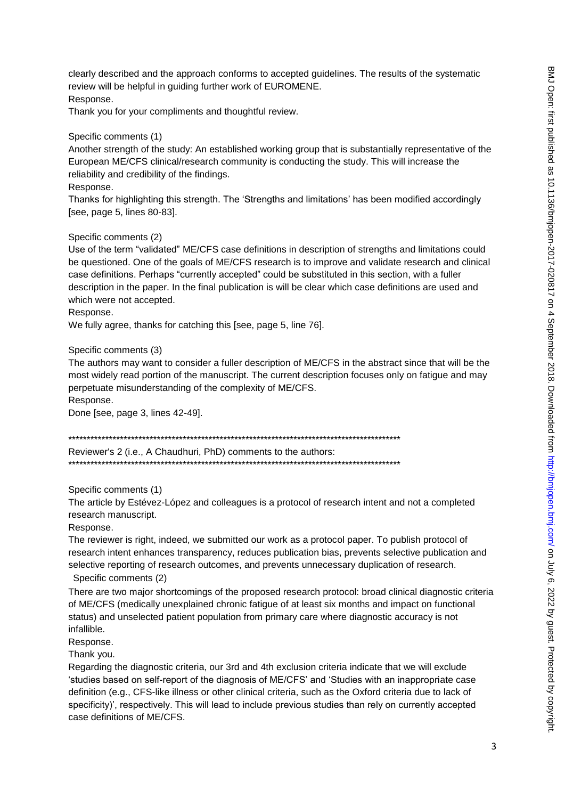clearly described and the approach conforms to accepted guidelines. The results of the systematic review will be helpful in guiding further work of EUROMENE. Response.

Thank you for your compliments and thoughtful review.

#### Specific comments (1)

Another strength of the study: An established working group that is substantially representative of the European ME/CFS clinical/research community is conducting the study. This will increase the reliability and credibility of the findings.

#### Response.

Thanks for highlighting this strength. The 'Strengths and limitations' has been modified accordingly [see, page 5, lines 80-83].

#### Specific comments (2)

Use of the term "validated" ME/CFS case definitions in description of strengths and limitations could be questioned. One of the goals of ME/CFS research is to improve and validate research and clinical case definitions. Perhaps "currently accepted" could be substituted in this section, with a fuller description in the paper. In the final publication is will be clear which case definitions are used and which were not accepted.

#### Response.

We fully agree, thanks for catching this [see, page 5, line 76].

Specific comments (3)

The authors may want to consider a fuller description of ME/CFS in the abstract since that will be the most widely read portion of the manuscript. The current description focuses only on fatigue and may perpetuate misunderstanding of the complexity of ME/CFS.

Response.

Done [see, page 3, lines 42-49].

Reviewer's 2 (i.e., A Chaudhuri, PhD) comments to the authors:

Specific comments (1)

The article by Estévez-López and colleagues is a protocol of research intent and not a completed research manuscript.

Response.

The reviewer is right, indeed, we submitted our work as a protocol paper. To publish protocol of research intent enhances transparency, reduces publication bias, prevents selective publication and selective reporting of research outcomes, and prevents unnecessary duplication of research.

Specific comments (2)

There are two major shortcomings of the proposed research protocol: broad clinical diagnostic criteria of ME/CFS (medically unexplained chronic fatigue of at least six months and impact on functional status) and unselected patient population from primary care where diagnostic accuracy is not infallible.

Response.

Thank you.

Regarding the diagnostic criteria, our 3rd and 4th exclusion criteria indicate that we will exclude 'studies based on self-report of the diagnosis of ME/CFS' and 'Studies with an inappropriate case definition (e.g., CFS-like illness or other clinical criteria, such as the Oxford criteria due to lack of specificity)', respectively. This will lead to include previous studies than rely on currently accepted case definitions of ME/CFS.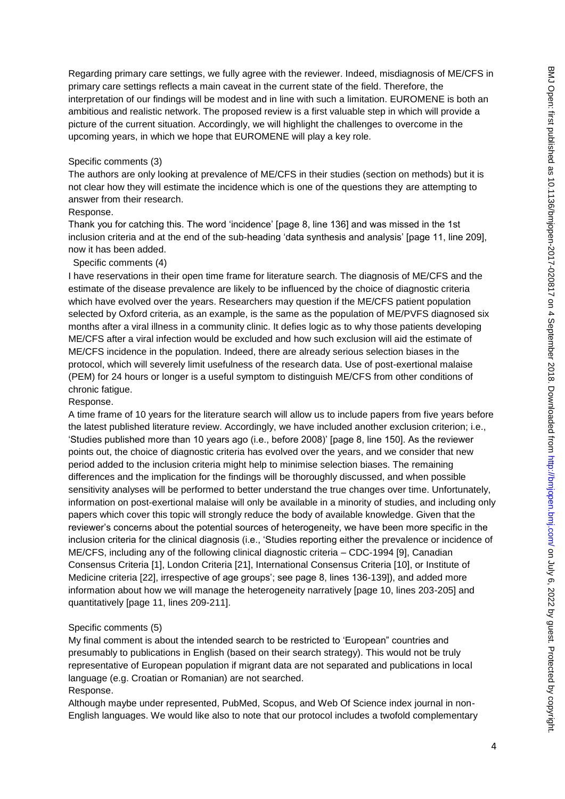Regarding primary care settings, we fully agree with the reviewer. Indeed, misdiagnosis of ME/CFS in primary care settings reflects a main caveat in the current state of the field. Therefore, the interpretation of our findings will be modest and in line with such a limitation. EUROMENE is both an ambitious and realistic network. The proposed review is a first valuable step in which will provide a picture of the current situation. Accordingly, we will highlight the challenges to overcome in the upcoming years, in which we hope that EUROMENE will play a key role.

### Specific comments (3)

The authors are only looking at prevalence of ME/CFS in their studies (section on methods) but it is not clear how they will estimate the incidence which is one of the questions they are attempting to answer from their research.

### Response.

Thank you for catching this. The word 'incidence' [page 8, line 136] and was missed in the 1st inclusion criteria and at the end of the sub-heading 'data synthesis and analysis' [page 11, line 209], now it has been added.

### Specific comments (4)

I have reservations in their open time frame for literature search. The diagnosis of ME/CFS and the estimate of the disease prevalence are likely to be influenced by the choice of diagnostic criteria which have evolved over the years. Researchers may question if the ME/CFS patient population selected by Oxford criteria, as an example, is the same as the population of ME/PVFS diagnosed six months after a viral illness in a community clinic. It defies logic as to why those patients developing ME/CFS after a viral infection would be excluded and how such exclusion will aid the estimate of ME/CFS incidence in the population. Indeed, there are already serious selection biases in the protocol, which will severely limit usefulness of the research data. Use of post-exertional malaise (PEM) for 24 hours or longer is a useful symptom to distinguish ME/CFS from other conditions of chronic fatigue.

### Response.

A time frame of 10 years for the literature search will allow us to include papers from five years before the latest published literature review. Accordingly, we have included another exclusion criterion; i.e., 'Studies published more than 10 years ago (i.e., before 2008)' [page 8, line 150]. As the reviewer points out, the choice of diagnostic criteria has evolved over the years, and we consider that new period added to the inclusion criteria might help to minimise selection biases. The remaining differences and the implication for the findings will be thoroughly discussed, and when possible sensitivity analyses will be performed to better understand the true changes over time. Unfortunately, information on post-exertional malaise will only be available in a minority of studies, and including only papers which cover this topic will strongly reduce the body of available knowledge. Given that the reviewer's concerns about the potential sources of heterogeneity, we have been more specific in the inclusion criteria for the clinical diagnosis (i.e., 'Studies reporting either the prevalence or incidence of ME/CFS, including any of the following clinical diagnostic criteria – CDC-1994 [9], Canadian Consensus Criteria [1], London Criteria [21], International Consensus Criteria [10], or Institute of Medicine criteria [22], irrespective of age groups'; see page 8, lines 136-139]), and added more information about how we will manage the heterogeneity narratively [page 10, lines 203-205] and quantitatively [page 11, lines 209-211].

### Specific comments (5)

My final comment is about the intended search to be restricted to 'European" countries and presumably to publications in English (based on their search strategy). This would not be truly representative of European population if migrant data are not separated and publications in local language (e.g. Croatian or Romanian) are not searched. Response.

## Although maybe under represented, PubMed, Scopus, and Web Of Science index journal in non-English languages. We would like also to note that our protocol includes a twofold complementary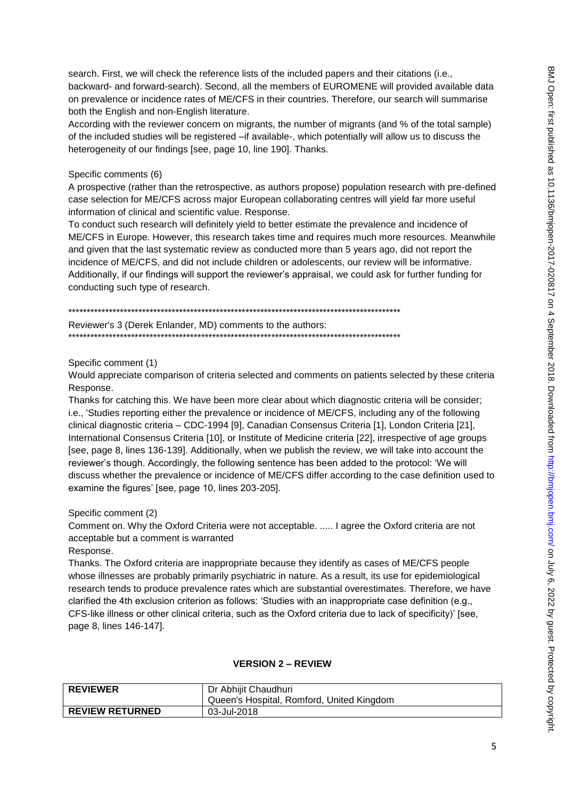search. First, we will check the reference lists of the included papers and their citations (i.e., backward- and forward-search). Second, all the members of EUROMENE will provided available data on prevalence or incidence rates of ME/CFS in their countries. Therefore, our search will summarise both the English and non-English literature.

According with the reviewer concern on migrants, the number of migrants (and % of the total sample) of the included studies will be registered -if available-, which potentially will allow us to discuss the heterogeneity of our findings [see, page 10, line 190]. Thanks.

### Specific comments (6)

A prospective (rather than the retrospective, as authors propose) population research with pre-defined case selection for ME/CFS across major European collaborating centres will yield far more useful information of clinical and scientific value. Response.

To conduct such research will definitely yield to better estimate the prevalence and incidence of ME/CFS in Europe. However, this research takes time and requires much more resources. Meanwhile and given that the last systematic review as conducted more than 5 years ago, did not report the incidence of ME/CFS, and did not include children or adolescents, our review will be informative. Additionally, if our findings will support the reviewer's appraisal, we could ask for further funding for conducting such type of research.

Reviewer's 3 (Derek Enlander, MD) comments to the authors:

Specific comment (1)

Would appreciate comparison of criteria selected and comments on patients selected by these criteria Response.

Thanks for catching this. We have been more clear about which diagnostic criteria will be consider; i.e., 'Studies reporting either the prevalence or incidence of ME/CFS, including any of the following clinical diagnostic criteria - CDC-1994 [9], Canadian Consensus Criteria [1], London Criteria [21], International Consensus Criteria [10], or Institute of Medicine criteria [22], irrespective of age groups [see, page 8, lines 136-139]. Additionally, when we publish the review, we will take into account the reviewer's though. Accordingly, the following sentence has been added to the protocol; 'We will discuss whether the prevalence or incidence of ME/CFS differ according to the case definition used to examine the figures' [see, page 10, lines 203-205].

Specific comment (2)

Comment on. Why the Oxford Criteria were not acceptable. ..... I agree the Oxford criteria are not acceptable but a comment is warranted

Response.

Thanks. The Oxford criteria are inappropriate because they identify as cases of ME/CFS people whose illnesses are probably primarily psychiatric in nature. As a result, its use for epidemiological research tends to produce prevalence rates which are substantial overestimates. Therefore, we have clarified the 4th exclusion criterion as follows: 'Studies with an inappropriate case definition (e.g., CFS-like illness or other clinical criteria, such as the Oxford criteria due to lack of specificity)' [see, page 8, lines 146-147].

### **VERSION 2 - REVIEW**

| <b>REVIEWER</b>        | Dr Abhijit Chaudhuri                      |
|------------------------|-------------------------------------------|
|                        | Queen's Hospital, Romford, United Kingdom |
| <b>REVIEW RETURNED</b> | 03-Jul-2018                               |